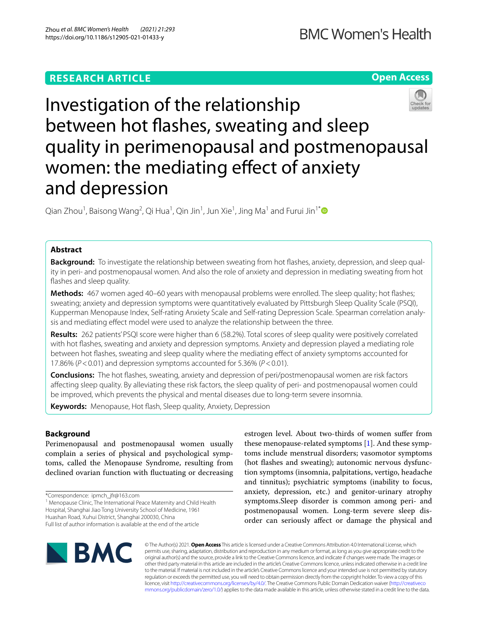# **RESEARCH ARTICLE**





Investigation of the relationship between hot fashes, sweating and sleep quality in perimenopausal and postmenopausal women: the mediating effect of anxiety and depression

Qian Zhou<sup>1</sup>, Baisong Wang<sup>2</sup>, Qi Hua<sup>1</sup>, Qin Jin<sup>1</sup>, Jun Xie<sup>1</sup>, Jing Ma<sup>1</sup> and Furui Jin<sup>1[\\*](http://orcid.org/0000-0003-3334-411X)</sup>

# **Abstract**

**Background:** To investigate the relationship between sweating from hot fashes, anxiety, depression, and sleep quality in peri- and postmenopausal women. And also the role of anxiety and depression in mediating sweating from hot flashes and sleep quality.

**Methods:** 467 women aged 40–60 years with menopausal problems were enrolled. The sleep quality; hot fashes; sweating; anxiety and depression symptoms were quantitatively evaluated by Pittsburgh Sleep Quality Scale (PSQI), Kupperman Menopause Index, Self-rating Anxiety Scale and Self-rating Depression Scale. Spearman correlation analysis and mediating efect model were used to analyze the relationship between the three.

**Results:** 262 patients' PSQI score were higher than 6 (58.2%). Total scores of sleep quality were positively correlated with hot fashes, sweating and anxiety and depression symptoms. Anxiety and depression played a mediating role between hot fashes, sweating and sleep quality where the mediating efect of anxiety symptoms accounted for 17.86% (*P*<0.01) and depression symptoms accounted for 5.36% (*P*<0.01).

**Conclusions:** The hot fashes, sweating, anxiety and depression of peri/postmenopausal women are risk factors afecting sleep quality. By alleviating these risk factors, the sleep quality of peri- and postmenopausal women could be improved, which prevents the physical and mental diseases due to long-term severe insomnia.

**Keywords:** Menopause, Hot fash, Sleep quality, Anxiety, Depression

# **Background**

Perimenopausal and postmenopausal women usually complain a series of physical and psychological symptoms, called the Menopause Syndrome, resulting from declined ovarian function with fuctuating or decreasing

\*Correspondence: ipmch\_jfr@163.com

<sup>1</sup> Menopause Clinic, The International Peace Maternity and Child Health Hospital, Shanghai Jiao Tong University School of Medicine, 1961 Huashan Road, Xuhui District, Shanghai 200030, China

Full list of author information is available at the end of the article

estrogen level. About two-thirds of women sufer from these menopause-related symptoms  $[1]$  $[1]$ . And these symptoms include menstrual disorders; vasomotor symptoms (hot fashes and sweating); autonomic nervous dysfunction symptoms (insomnia, palpitations, vertigo, headache and tinnitus); psychiatric symptoms (inability to focus, anxiety, depression, etc.) and genitor-urinary atrophy symptoms.Sleep disorder is common among peri- and postmenopausal women. Long-term severe sleep disorder can seriously afect or damage the physical and



© The Author(s) 2021. **Open Access** This article is licensed under a Creative Commons Attribution 4.0 International License, which permits use, sharing, adaptation, distribution and reproduction in any medium or format, as long as you give appropriate credit to the original author(s) and the source, provide a link to the Creative Commons licence, and indicate if changes were made. The images or other third party material in this article are included in the article's Creative Commons licence, unless indicated otherwise in a credit line to the material. If material is not included in the article's Creative Commons licence and your intended use is not permitted by statutory regulation or exceeds the permitted use, you will need to obtain permission directly from the copyright holder. To view a copy of this licence, visit [http://creativecommons.org/licenses/by/4.0/.](http://creativecommons.org/licenses/by/4.0/) The Creative Commons Public Domain Dedication waiver ([http://creativeco](http://creativecommons.org/publicdomain/zero/1.0/) [mmons.org/publicdomain/zero/1.0/](http://creativecommons.org/publicdomain/zero/1.0/)) applies to the data made available in this article, unless otherwise stated in a credit line to the data.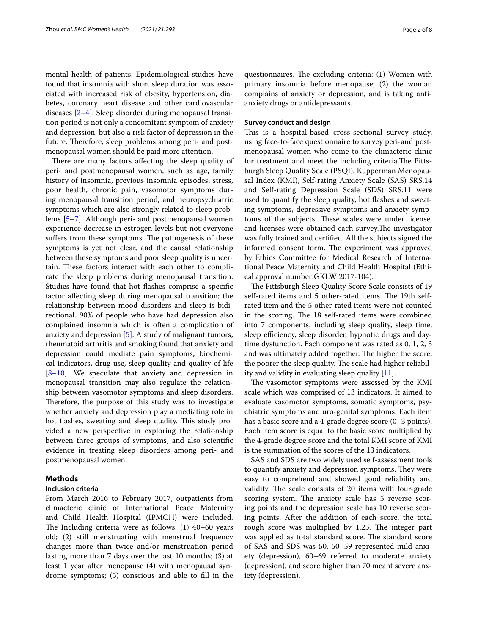mental health of patients. Epidemiological studies have found that insomnia with short sleep duration was associated with increased risk of obesity, hypertension, diabetes, coronary heart disease and other cardiovascular diseases [[2–](#page-6-1)[4\]](#page-6-2). Sleep disorder during menopausal transition period is not only a concomitant symptom of anxiety and depression, but also a risk factor of depression in the future. Therefore, sleep problems among peri- and postmenopausal women should be paid more attention.

There are many factors affecting the sleep quality of peri- and postmenopausal women, such as age, family history of insomnia, previous insomnia episodes, stress, poor health, chronic pain, vasomotor symptoms during menopausal transition period, and neuropsychiatric symptoms which are also strongly related to sleep problems [\[5](#page-6-3)[–7\]](#page-6-4). Although peri- and postmenopausal women experience decrease in estrogen levels but not everyone suffers from these symptoms. The pathogenesis of these symptoms is yet not clear, and the causal relationship between these symptoms and poor sleep quality is uncertain. These factors interact with each other to complicate the sleep problems during menopausal transition. Studies have found that hot fashes comprise a specifc factor afecting sleep during menopausal transition; the relationship between mood disorders and sleep is bidirectional. 90% of people who have had depression also complained insomnia which is often a complication of anxiety and depression [[5\]](#page-6-3). A study of malignant tumors, rheumatoid arthritis and smoking found that anxiety and depression could mediate pain symptoms, biochemical indicators, drug use, sleep quality and quality of life [[8–](#page-6-5)[10\]](#page-7-0). We speculate that anxiety and depression in menopausal transition may also regulate the relationship between vasomotor symptoms and sleep disorders. Therefore, the purpose of this study was to investigate whether anxiety and depression play a mediating role in hot flashes, sweating and sleep quality. This study provided a new perspective in exploring the relationship between three groups of symptoms, and also scientifc evidence in treating sleep disorders among peri- and postmenopausal women.

# **Methods**

### **Inclusion criteria**

From March 2016 to February 2017, outpatients from climacteric clinic of International Peace Maternity and Child Health Hospital (IPMCH) were included. The Including criteria were as follows:  $(1)$  40–60 years old; (2) still menstruating with menstrual frequency changes more than twice and/or menstruation period lasting more than 7 days over the last 10 months; (3) at least 1 year after menopause (4) with menopausal syndrome symptoms; (5) conscious and able to fll in the

questionnaires. The excluding criteria:  $(1)$  Women with primary insomnia before menopause; (2) the woman complains of anxiety or depression, and is taking antianxiety drugs or antidepressants.

### **Survey conduct and design**

This is a hospital-based cross-sectional survey study, using face-to-face questionnaire to survey peri-and postmenopausal women who come to the climacteric clinic for treatment and meet the including criteria.The Pittsburgh Sleep Quality Scale (PSQI), Kupperman Menopausal Index (KMI), Self-rating Anxiety Scale (SAS) SRS.14 and Self-rating Depression Scale (SDS) SRS.11 were used to quantify the sleep quality, hot fashes and sweating symptoms, depressive symptoms and anxiety symptoms of the subjects. These scales were under license, and licenses were obtained each survey. The investigator was fully trained and certifed. All the subjects signed the informed consent form. The experiment was approved by Ethics Committee for Medical Research of International Peace Maternity and Child Health Hospital (Ethical approval number:GKLW 2017-104).

The Pittsburgh Sleep Quality Score Scale consists of 19 self-rated items and 5 other-rated items. The 19th selfrated item and the 5 other-rated items were not counted in the scoring. The 18 self-rated items were combined into 7 components, including sleep quality, sleep time, sleep efficiency, sleep disorder, hypnotic drugs and daytime dysfunction. Each component was rated as 0, 1, 2, 3 and was ultimately added together. The higher the score, the poorer the sleep quality. The scale had higher reliability and validity in evaluating sleep quality  $[11]$  $[11]$ .

The vasomotor symptoms were assessed by the KMI scale which was comprised of 13 indicators. It aimed to evaluate vasomotor symptoms, somatic symptoms, psychiatric symptoms and uro-genital symptoms. Each item has a basic score and a 4-grade degree score (0–3 points). Each item score is equal to the basic score multiplied by the 4-grade degree score and the total KMI score of KMI is the summation of the scores of the 13 indicators.

SAS and SDS are two widely used self-assessment tools to quantify anxiety and depression symptoms. They were easy to comprehend and showed good reliability and validity. The scale consists of 20 items with four-grade scoring system. The anxiety scale has 5 reverse scoring points and the depression scale has 10 reverse scoring points. After the addition of each score, the total rough score was multiplied by 1.25. The integer part was applied as total standard score. The standard score of SAS and SDS was 50. 50–59 represented mild anxiety (depression), 60–69 referred to moderate anxiety (depression), and score higher than 70 meant severe anxiety (depression).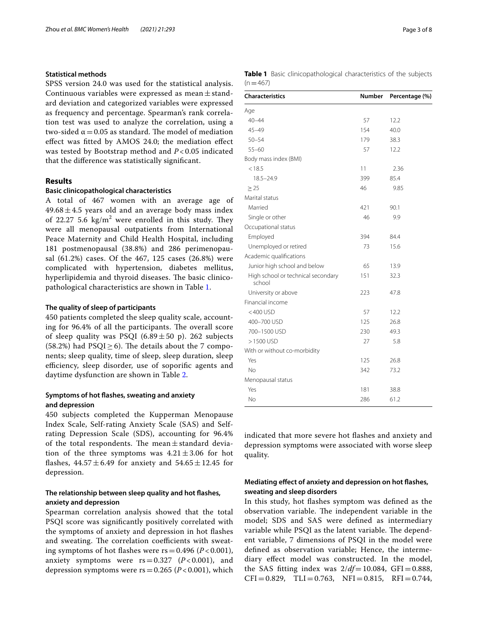# **Statistical methods**

SPSS version 24.0 was used for the statistical analysis. Continuous variables were expressed as mean  $\pm$  standard deviation and categorized variables were expressed as frequency and percentage. Spearman's rank correlation test was used to analyze the correlation, using a two-sided  $\alpha$  = 0.05 as standard. The model of mediation efect was ftted by AMOS 24.0; the mediation efect was tested by Bootstrap method and *P* < 0.05 indicated that the diference was statistically signifcant.

# **Results**

# **Basic clinicopathological characteristics**

A total of 467 women with an average age of  $49.68 \pm 4.5$  years old and an average body mass index of 22.27 5.6  $\text{kg/m}^2$  were enrolled in this study. They were all menopausal outpatients from International Peace Maternity and Child Health Hospital, including 181 postmenopausal (38.8%) and 286 perimenopausal (61.2%) cases. Of the 467, 125 cases (26.8%) were complicated with hypertension, diabetes mellitus, hyperlipidemia and thyroid diseases. The basic clinicopathological characteristics are shown in Table [1](#page-2-0).

### **The quality of sleep of participants**

450 patients completed the sleep quality scale, accounting for 96.4% of all the participants. The overall score of sleep quality was PSQI (6.89 $\pm$ 50 p). 262 subjects (58.2%) had  $PSQI \ge 6$ ). The details about the 7 components; sleep quality, time of sleep, sleep duration, sleep efficiency, sleep disorder, use of soporific agents and daytime dysfunction are shown in Table [2.](#page-3-0)

# **Symptoms of hot fashes, sweating and anxiety and depression**

450 subjects completed the Kupperman Menopause Index Scale, Self-rating Anxiety Scale (SAS) and Selfrating Depression Scale (SDS), accounting for 96.4% of the total respondents. The mean $\pm$ standard deviation of the three symptoms was  $4.21 \pm 3.06$  for hot flashes,  $44.57 \pm 6.49$  for anxiety and  $54.65 \pm 12.45$  for depression.

# **The relationship between sleep quality and hot fashes, anxiety and depression**

Spearman correlation analysis showed that the total PSQI score was signifcantly positively correlated with the symptoms of anxiety and depression in hot fashes and sweating. The correlation coefficients with sweating symptoms of hot flashes were  $rs = 0.496$  ( $P < 0.001$ ), anxiety symptoms were  $rs = 0.327$  ( $P < 0.001$ ), and depression symptoms were  $rs = 0.265$  ( $P < 0.001$ ), which

<span id="page-2-0"></span>

|           | <b>Table 1</b> Basic clinicopathological characteristics of the subjects |  |  |
|-----------|--------------------------------------------------------------------------|--|--|
| $(n=467)$ |                                                                          |  |  |

| <b>Characteristics</b>                       | <b>Number</b> | Percentage (%) |  |
|----------------------------------------------|---------------|----------------|--|
| Age                                          |               |                |  |
| $40 - 44$                                    | 57            | 12.2           |  |
| $45 - 49$                                    | 154           | 40.0           |  |
| $50 - 54$                                    | 179           | 38.3           |  |
| $55 - 60$                                    | 57            | 12.2           |  |
| Body mass index (BMI)                        |               |                |  |
| < 18.5                                       | 11            | 2.36           |  |
| $18.5 - 24.9$                                | 399           | 85.4           |  |
| > 25                                         | 46            | 9.85           |  |
| Marital status                               |               |                |  |
| Married                                      | 421           | 90.1           |  |
| Single or other                              | 46            | 9.9            |  |
| Occupational status                          |               |                |  |
| Employed                                     | 394           | 84.4           |  |
| Unemployed or retired                        | 73            | 15.6           |  |
| Academic qualifications                      |               |                |  |
| Junior high school and below                 | 65            | 13.9           |  |
| High school or technical secondary<br>school | 151           | 32.3           |  |
| University or above                          | 223           | 47.8           |  |
| Financial income                             |               |                |  |
| $<$ 400 USD                                  | 57            | 12.2           |  |
| 400-700 USD                                  | 125           | 26.8           |  |
| 700-1500 USD                                 | 230           | 49.3           |  |
| >1500 USD                                    | 27            | 5.8            |  |
| With or without co-morbidity                 |               |                |  |
| Yes                                          | 125           | 26.8           |  |
| No                                           | 342           | 73.2           |  |
| Menopausal status                            |               |                |  |
| Yes                                          | 181           | 38.8           |  |
| No                                           | 286           | 61.2           |  |

indicated that more severe hot fashes and anxiety and depression symptoms were associated with worse sleep quality.

# **Mediating efect of anxiety and depression on hot fashes, sweating and sleep disorders**

In this study, hot fashes symptom was defned as the observation variable. The independent variable in the model; SDS and SAS were defned as intermediary variable while PSQI as the latent variable. The dependent variable, 7 dimensions of PSQI in the model were defned as observation variable; Hence, the intermediary efect model was constructed. In the model, the SAS fitting index was  $2/df=10.084$ , GFI=0.888,  $CFI = 0.829$ ,  $TLI = 0.763$ ,  $NFI = 0.815$ ,  $RFI = 0.744$ ,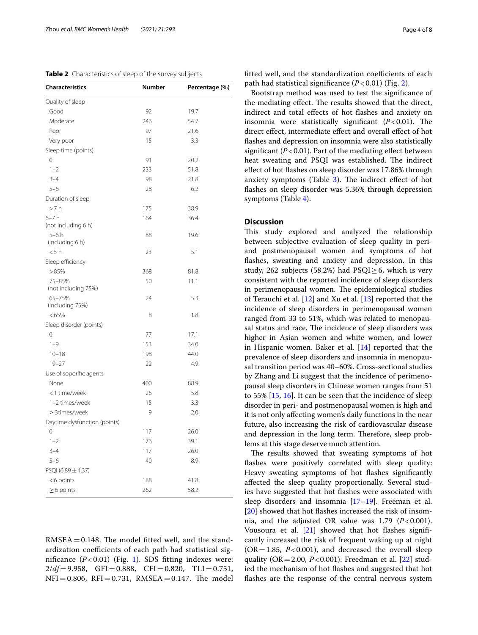<span id="page-3-0"></span>**Table 2** Characteristics of sleep of the survey subjects

| <b>Characteristics</b>        | <b>Number</b> | Percentage (%) |
|-------------------------------|---------------|----------------|
| Quality of sleep              |               |                |
| Good                          | 92            | 19.7           |
| Moderate                      | 246           | 54.7           |
| Poor                          | 97            | 21.6           |
| Very poor                     | 15            | 3.3            |
| Sleep time (points)           |               |                |
| 0                             | 91            | 20.2           |
| $1 - 2$                       | 233           | 51.8           |
| $3 - 4$                       | 98            | 21.8           |
| $5 - 6$                       | 28            | 6.2            |
| Duration of sleep             |               |                |
| >7h                           | 175           | 38.9           |
| $6-7h$                        | 164           | 36.4           |
| (not including 6 h)           |               |                |
| $5-6h$<br>(including 6 h)     | 88            | 19.6           |
| < 5 h                         | 23            | 5.1            |
| Sleep efficiency              |               |                |
| >85%                          | 368           | 81.8           |
| 75-85%<br>(not including 75%) | 50            | 11.1           |
| 65-75%<br>(including 75%)     | 24            | 5.3            |
| <65%                          | 8             | 1.8            |
| Sleep disorder (points)       |               |                |
| 0                             | 77            | 17.1           |
| $1 - 9$                       | 153           | 34.0           |
| $10 - 18$                     | 198           | 44.0           |
| $19 - 27$                     | 22            | 4.9            |
| Use of soporific agents       |               |                |
| None                          | 400           | 88.9           |
| <1 time/week                  | 26            | 5.8            |
| 1-2 times/week                | 15            | 3.3            |
| $\geq$ 3times/week            | 9             | 2.0            |
| Daytime dysfunction (points)  |               |                |
| 0                             | 117           | 26.0           |
| $1 - 2$                       | 176           | 39.1           |
| $3 - 4$                       | 117           | 26.0           |
| $5 - 6$                       | 40            | 8.9            |
| PSQI (6.89 ± 4.37)            |               |                |
| <6 points                     | 188           | 41.8           |
| $\geq$ 6 points               | 262           | 58.2           |

 $RMSEA = 0.148$ . The model fitted well, and the standardization coefficients of each path had statistical significance  $(P<0.01)$  $(P<0.01)$  (Fig. 1). SDS fitting indexes were:  $2/df = 9.958$ , GFI = 0.888, CFI = 0.820, TLI = 0.751,  $NFI = 0.806$ ,  $RFI = 0.731$ ,  $RMSEA = 0.147$ . The model fitted well, and the standardization coefficients of each path had statistical signifcance (*P* < 0.01) (Fig. [2](#page-4-1)).

Bootstrap method was used to test the signifcance of the mediating effect. The results showed that the direct, indirect and total efects of hot fashes and anxiety on insomnia were statistically significant  $(P<0.01)$ . The direct efect, intermediate efect and overall efect of hot flashes and depression on insomnia were also statistically significant  $(P<0.01)$ . Part of the mediating effect between heat sweating and PSQI was established. The indirect efect of hot fashes on sleep disorder was 17.86% through anxiety symptoms (Table  $3$ ). The indirect effect of hot fashes on sleep disorder was 5.36% through depression symptoms (Table [4](#page-5-1)).

# **Discussion**

This study explored and analyzed the relationship between subjective evaluation of sleep quality in periand postmenopausal women and symptoms of hot fashes, sweating and anxiety and depression. In this study, 262 subjects (58.2%) had PSQI $\geq$ 6, which is very consistent with the reported incidence of sleep disorders in perimenopausal women. The epidemiological studies of Terauchi et al. [\[12](#page-7-2)] and Xu et al. [[13\]](#page-7-3) reported that the incidence of sleep disorders in perimenopausal women ranged from 33 to 51%, which was related to menopausal status and race. The incidence of sleep disorders was higher in Asian women and white women, and lower in Hispanic women. Baker et al. [[14\]](#page-7-4) reported that the prevalence of sleep disorders and insomnia in menopausal transition period was 40–60%. Cross-sectional studies by Zhang and Li suggest that the incidence of perimenopausal sleep disorders in Chinese women ranges from 51 to 55% [\[15](#page-7-5), [16\]](#page-7-6). It can be seen that the incidence of sleep disorder in peri- and postmenopausal women is high and it is not only afecting women's daily functions in the near future, also increasing the risk of cardiovascular disease and depression in the long term. Therefore, sleep problems at this stage deserve much attention.

The results showed that sweating symptoms of hot fashes were positively correlated with sleep quality: Heavy sweating symptoms of hot fashes signifcantly afected the sleep quality proportionally. Several studies have suggested that hot fashes were associated with sleep disorders and insomnia [[17–](#page-7-7)[19](#page-7-8)]. Freeman et al. [[20\]](#page-7-9) showed that hot flashes increased the risk of insomnia, and the adjusted OR value was  $1.79$  ( $P < 0.001$ ). Vousoura et al.  $[21]$  $[21]$  showed that hot flashes significantly increased the risk of frequent waking up at night  $(OR = 1.85, P < 0.001)$ , and decreased the overall sleep quality (OR=2.00, *P*<0.001). Freedman et al. [\[22\]](#page-7-11) studied the mechanism of hot fashes and suggested that hot fashes are the response of the central nervous system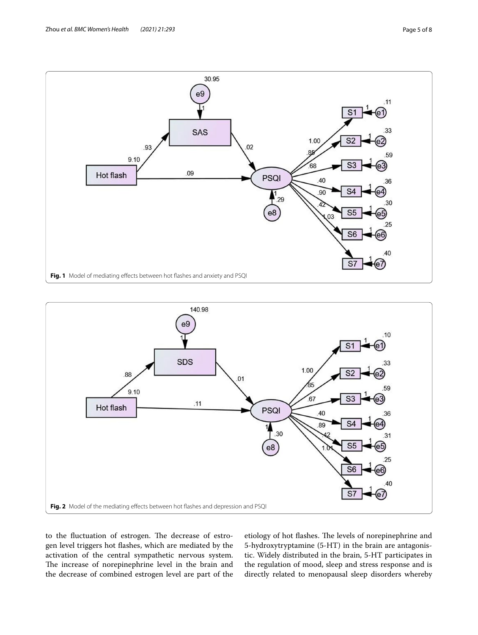

<span id="page-4-0"></span>

<span id="page-4-1"></span>to the fluctuation of estrogen. The decrease of estrogen level triggers hot fashes, which are mediated by the activation of the central sympathetic nervous system. The increase of norepinephrine level in the brain and the decrease of combined estrogen level are part of the etiology of hot flashes. The levels of norepinephrine and 5-hydroxytryptamine (5-HT) in the brain are antagonistic. Widely distributed in the brain, 5-HT participates in the regulation of mood, sleep and stress response and is directly related to menopausal sleep disorders whereby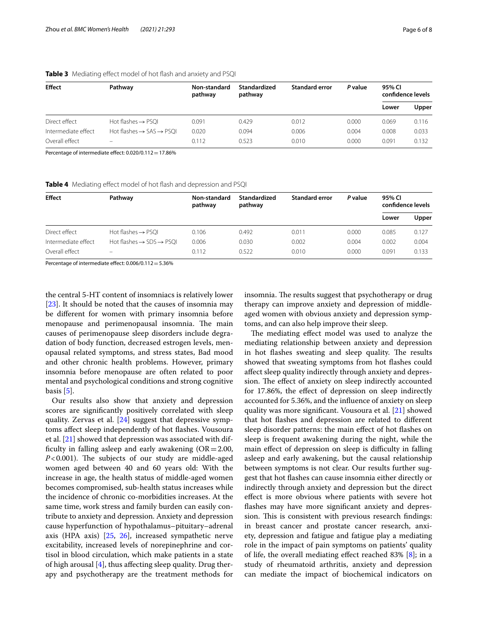| <b>Effect</b>       | Pathway                                          | Non-standard<br>pathway | Standardized<br>pathway | <b>Standard error</b> | P value | 95% CI<br>confidence levels |       |
|---------------------|--------------------------------------------------|-------------------------|-------------------------|-----------------------|---------|-----------------------------|-------|
|                     |                                                  |                         |                         |                       |         | Lower                       | Upper |
| Direct effect       | Hot flashes $\rightarrow$ PSQI                   | 0.091                   | 0.429                   | 0.012                 | 0.000   | 0.069                       | 0.116 |
| Intermediate effect | Hot flashes $\rightarrow$ SAS $\rightarrow$ PSOI | 0.020                   | 0.094                   | 0.006                 | 0.004   | 0.008                       | 0.033 |
| Overall effect      | $\overline{\phantom{0}}$                         | 0.112                   | 0.523                   | 0.010                 | 0.000   | 0.091                       | 0.132 |

### <span id="page-5-0"></span>**Table 3** Mediating effect model of hot flash and anxiety and PSQI

Percentage of intermediate effect:  $0.020/0.112=17.86\%$ 

<span id="page-5-1"></span>Table 4 Mediating effect model of hot flash and depression and PSQI

| <b>Effect</b>       | Pathway                                          | Non-standard<br>pathway | Standardized<br>pathway | <b>Standard error</b> | P value | 95% CI<br>confidence levels |       |
|---------------------|--------------------------------------------------|-------------------------|-------------------------|-----------------------|---------|-----------------------------|-------|
|                     |                                                  |                         |                         |                       |         | Lower                       | Upper |
| Direct effect       | Hot flashes $\rightarrow$ PSQI                   | 0.106                   | 0.492                   | 0.011                 | 0.000   | 0.085                       | 0.127 |
| Intermediate effect | Hot flashes $\rightarrow$ SDS $\rightarrow$ PSOI | 0.006                   | 0.030                   | 0.002                 | 0.004   | 0.002                       | 0.004 |
| Overall effect      | $\qquad \qquad -$                                | 0.112                   | 0.522                   | 0.010                 | 0.000   | 0.091                       | 0.133 |

Percentage of intermediate effect:  $0.006/0.112=5.36%$ 

the central 5-HT content of insomniacs is relatively lower [[23\]](#page-7-12). It should be noted that the causes of insomnia may be diferent for women with primary insomnia before menopause and perimenopausal insomnia. The main causes of perimenopause sleep disorders include degradation of body function, decreased estrogen levels, menopausal related symptoms, and stress states, Bad mood and other chronic health problems. However, primary insomnia before menopause are often related to poor mental and psychological conditions and strong cognitive basis [\[5](#page-6-3)].

Our results also show that anxiety and depression scores are signifcantly positively correlated with sleep quality. Zervas et al. [[24\]](#page-7-13) suggest that depressive symptoms afect sleep independently of hot fashes. Vousoura et al. [\[21\]](#page-7-10) showed that depression was associated with difficulty in falling asleep and early awakening  $(OR=2.00,$  $P < 0.001$ ). The subjects of our study are middle-aged women aged between 40 and 60 years old: With the increase in age, the health status of middle-aged women becomes compromised, sub-health status increases while the incidence of chronic co-morbidities increases. At the same time, work stress and family burden can easily contribute to anxiety and depression. Anxiety and depression cause hyperfunction of hypothalamus–pituitary–adrenal axis (HPA axis) [\[25,](#page-7-14) [26\]](#page-7-15), increased sympathetic nerve excitability, increased levels of norepinephrine and cortisol in blood circulation, which make patients in a state of high arousal  $[4]$  $[4]$ , thus affecting sleep quality. Drug therapy and psychotherapy are the treatment methods for insomnia. The results suggest that psychotherapy or drug therapy can improve anxiety and depression of middleaged women with obvious anxiety and depression symptoms, and can also help improve their sleep.

The mediating effect model was used to analyze the mediating relationship between anxiety and depression in hot flashes sweating and sleep quality. The results showed that sweating symptoms from hot fashes could afect sleep quality indirectly through anxiety and depression. The effect of anxiety on sleep indirectly accounted for 17.86%, the effect of depression on sleep indirectly accounted for 5.36%, and the infuence of anxiety on sleep quality was more signifcant. Vousoura et al. [[21\]](#page-7-10) showed that hot fashes and depression are related to diferent sleep disorder patterns: the main efect of hot fashes on sleep is frequent awakening during the night, while the main effect of depression on sleep is difficulty in falling asleep and early awakening, but the causal relationship between symptoms is not clear. Our results further suggest that hot fashes can cause insomnia either directly or indirectly through anxiety and depression but the direct efect is more obvious where patients with severe hot fashes may have more signifcant anxiety and depression. This is consistent with previous research findings: in breast cancer and prostate cancer research, anxiety, depression and fatigue and fatigue play a mediating role in the impact of pain symptoms on patients' quality of life, the overall mediating efect reached 83% [\[8](#page-6-5)]; in a study of rheumatoid arthritis, anxiety and depression can mediate the impact of biochemical indicators on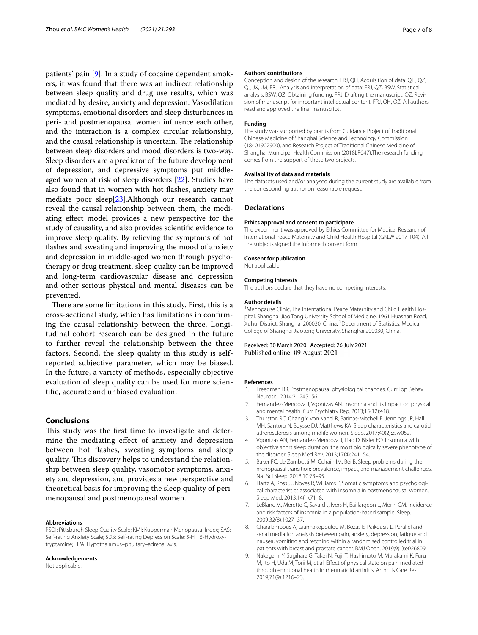patients' pain [[9\]](#page-6-6). In a study of cocaine dependent smokers, it was found that there was an indirect relationship between sleep quality and drug use results, which was mediated by desire, anxiety and depression. Vasodilation symptoms, emotional disorders and sleep disturbances in peri- and postmenopausal women infuence each other, and the interaction is a complex circular relationship, and the causal relationship is uncertain. The relationship between sleep disorders and mood disorders is two-way. Sleep disorders are a predictor of the future development of depression, and depressive symptoms put middleaged women at risk of sleep disorders [[22](#page-7-11)]. Studies have also found that in women with hot fashes, anxiety may mediate poor sleep[[23](#page-7-12)].Although our research cannot reveal the causal relationship between them, the mediating efect model provides a new perspective for the study of causality, and also provides scientifc evidence to improve sleep quality. By relieving the symptoms of hot fashes and sweating and improving the mood of anxiety and depression in middle-aged women through psychotherapy or drug treatment, sleep quality can be improved and long-term cardiovascular disease and depression and other serious physical and mental diseases can be prevented.

There are some limitations in this study. First, this is a cross-sectional study, which has limitations in confrming the causal relationship between the three. Longitudinal cohort research can be designed in the future to further reveal the relationship between the three factors. Second, the sleep quality in this study is selfreported subjective parameter, which may be biased. In the future, a variety of methods, especially objective evaluation of sleep quality can be used for more scientifc, accurate and unbiased evaluation.

# **Conclusions**

This study was the first time to investigate and determine the mediating efect of anxiety and depression between hot fashes, sweating symptoms and sleep quality. This discovery helps to understand the relationship between sleep quality, vasomotor symptoms, anxiety and depression, and provides a new perspective and theoretical basis for improving the sleep quality of perimenopausal and postmenopausal women.

#### **Abbreviations**

PSQI: Pittsburgh Sleep Quality Scale; KMI: Kupperman Menopausal Index; SAS: Self-rating Anxiety Scale; SDS: Self-rating Depression Scale; 5-HT: 5-Hydroxytryptamine; HPA: Hypothalamus–pituitary–adrenal axis.

#### **Acknowledgements**

Not applicable.

#### **Authors' contributions**

Conception and design of the research: FRJ, QH. Acquisition of data: QH, QZ, QJ, JX, JM, FRJ. Analysis and interpretation of data: FRJ, QZ, BSW. Statistical analysis: BSW, QZ. Obtaining funding: FRJ. Drafting the manuscript: QZ. Revision of manuscript for important intellectual content: FRJ, QH, QZ. All authors read and approved the fnal manuscript.

#### **Funding**

The study was supported by grants from Guidance Project of Traditional Chinese Medicine of Shanghai Science and Technology Commission (18401902900), and Research Project of Traditional Chinese Medicine of Shanghai Municipal Health Commission (2018LP047).The research funding comes from the support of these two projects.

#### **Availability of data and materials**

The datasets used and/or analysed during the current study are available from the corresponding author on reasonable request.

#### **Declarations**

#### **Ethics approval and consent to participate**

The experiment was approved by Ethics Committee for Medical Research of International Peace Maternity and Child Health Hospital (GKLW 2017-104). All the subjects signed the informed consent form

#### **Consent for publication**

Not applicable.

#### **Competing interests**

The authors declare that they have no competing interests.

# **Author details**

<sup>1</sup> Menopause Clinic, The International Peace Maternity and Child Health Hospital, Shanghai Jiao Tong University School of Medicine, 1961 Huashan Road, Xuhui District, Shanghai 200030, China. <sup>2</sup> Department of Statistics, Medical College of Shanghai Jiaotong University, Shanghai 200030, China.

### Received: 30 March 2020 Accepted: 26 July 2021 Published online: 09 August 2021

#### **References**

- <span id="page-6-0"></span>1. Freedman RR. Postmenopausal physiological changes. Curr Top Behav Neurosci. 2014;21:245–56.
- <span id="page-6-1"></span>2. Fernandez-Mendoza J, Vgontzas AN. Insomnia and its impact on physical and mental health. Curr Psychiatry Rep. 2013;15(12):418.
- 3. Thurston RC, Chang Y, von Kanel R, Barinas-Mitchell E, Jennings JR, Hall MH, Santoro N, Buysse DJ, Matthews KA. Sleep characteristics and carotid atherosclerosis among midlife women. Sleep. 2017;40(2):zsw052.
- <span id="page-6-2"></span>4. Vgontzas AN, Fernandez-Mendoza J, Liao D, Bixler EO. Insomnia with objective short sleep duration: the most biologically severe phenotype of the disorder. Sleep Med Rev. 2013;17(4):241–54.
- <span id="page-6-3"></span>5. Baker FC, de Zambotti M, Colrain IM, Bei B. Sleep problems during the menopausal transition: prevalence, impact, and management challenges. Nat Sci Sleep. 2018;10:73–95.
- 6. Hartz A, Ross JJ, Noyes R, Williams P. Somatic symptoms and psychological characteristics associated with insomnia in postmenopausal women. Sleep Med. 2013;14(1):71–8.
- <span id="page-6-4"></span>7. LeBlanc M, Merette C, Savard J, Ivers H, Baillargeon L, Morin CM. Incidence and risk factors of insomnia in a population-based sample. Sleep. 2009;32(8):1027–37.
- <span id="page-6-5"></span>8. Charalambous A, Giannakopoulou M, Bozas E, Paikousis L. Parallel and serial mediation analysis between pain, anxiety, depression, fatigue and nausea, vomiting and retching within a randomised controlled trial in patients with breast and prostate cancer. BMJ Open. 2019;9(1):e026809.
- <span id="page-6-6"></span>9. Nakagami Y, Sugihara G, Takei N, Fujii T, Hashimoto M, Murakami K, Furu M, Ito H, Uda M, Torii M, et al. Efect of physical state on pain mediated through emotional health in rheumatoid arthritis. Arthritis Care Res. 2019;71(9):1216–23.